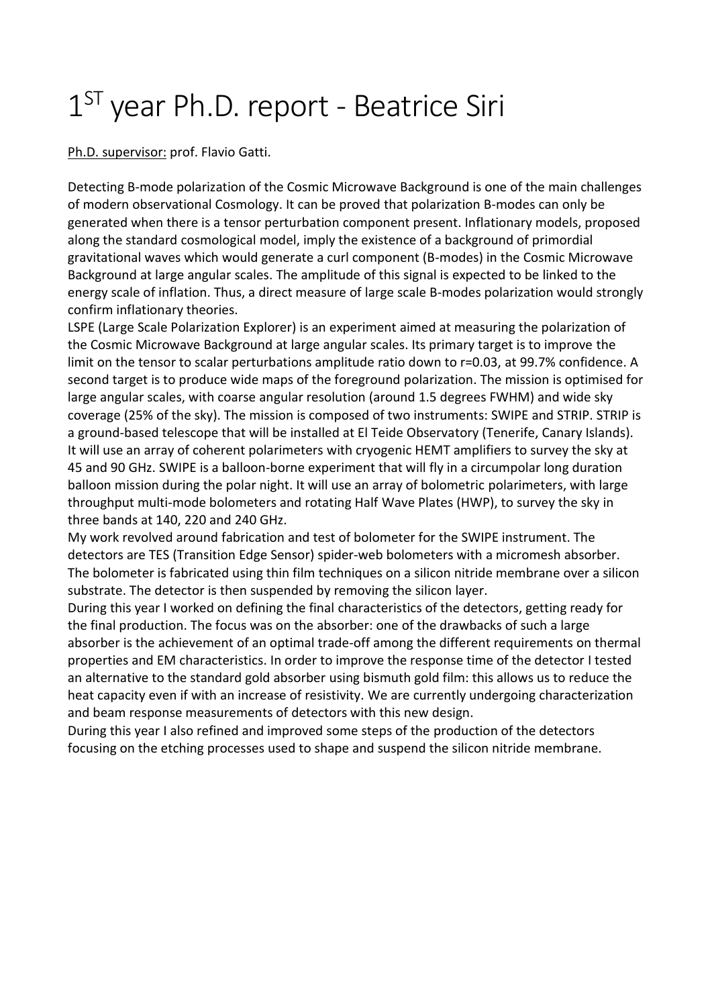## 1<sup>ST</sup> year Ph.D. report - Beatrice Siri

Ph.D. supervisor: prof. Flavio Gatti.

Detecting B-mode polarization of the Cosmic Microwave Background is one of the main challenges of modern observational Cosmology. It can be proved that polarization B-modes can only be generated when there is a tensor perturbation component present. Inflationary models, proposed along the standard cosmological model, imply the existence of a background of primordial gravitational waves which would generate a curl component (B-modes) in the Cosmic Microwave Background at large angular scales. The amplitude of this signal is expected to be linked to the energy scale of inflation. Thus, a direct measure of large scale B-modes polarization would strongly confirm inflationary theories.

LSPE (Large Scale Polarization Explorer) is an experiment aimed at measuring the polarization of the Cosmic Microwave Background at large angular scales. Its primary target is to improve the limit on the tensor to scalar perturbations amplitude ratio down to r=0.03, at 99.7% confidence. A second target is to produce wide maps of the foreground polarization. The mission is optimised for large angular scales, with coarse angular resolution (around 1.5 degrees FWHM) and wide sky coverage (25% of the sky). The mission is composed of two instruments: SWIPE and STRIP. STRIP is a ground-based telescope that will be installed at El Teide Observatory (Tenerife, Canary Islands). It will use an array of coherent polarimeters with cryogenic HEMT amplifiers to survey the sky at 45 and 90 GHz. SWIPE is a balloon-borne experiment that will fly in a circumpolar long duration balloon mission during the polar night. It will use an array of bolometric polarimeters, with large throughput multi-mode bolometers and rotating Half Wave Plates (HWP), to survey the sky in three bands at 140, 220 and 240 GHz.

My work revolved around fabrication and test of bolometer for the SWIPE instrument. The detectors are TES (Transition Edge Sensor) spider-web bolometers with a micromesh absorber. The bolometer is fabricated using thin film techniques on a silicon nitride membrane over a silicon substrate. The detector is then suspended by removing the silicon layer.

During this year I worked on defining the final characteristics of the detectors, getting ready for the final production. The focus was on the absorber: one of the drawbacks of such a large absorber is the achievement of an optimal trade-off among the different requirements on thermal properties and EM characteristics. In order to improve the response time of the detector I tested an alternative to the standard gold absorber using bismuth gold film: this allows us to reduce the heat capacity even if with an increase of resistivity. We are currently undergoing characterization and beam response measurements of detectors with this new design.

During this year I also refined and improved some steps of the production of the detectors focusing on the etching processes used to shape and suspend the silicon nitride membrane.